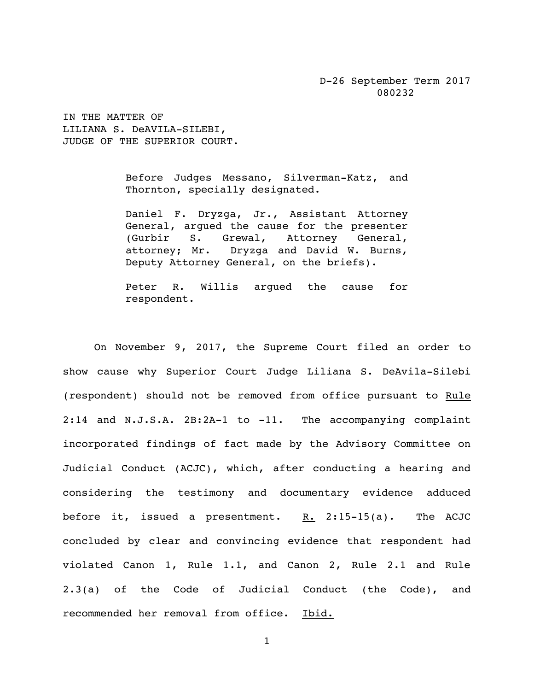D-26 September Term 2017 080232

IN THE MATTER OF LILIANA S. DeAVILA-SILEBI, JUDGE OF THE SUPERIOR COURT.

> Before Judges Messano, Silverman-Katz, and Thornton, specially designated.

> Daniel F. Dryzga, Jr., Assistant Attorney General, argued the cause for the presenter (Gurbir S. Grewal, Attorney General, attorney; Mr. Dryzga and David W. Burns, Deputy Attorney General, on the briefs).

> Peter R. Willis argued the cause for respondent.

On November 9, 2017, the Supreme Court filed an order to show cause why Superior Court Judge Liliana S. DeAvila-Silebi (respondent) should not be removed from office pursuant to Rule 2:14 and N.J.S.A. 2B:2A-1 to -11. The accompanying complaint incorporated findings of fact made by the Advisory Committee on Judicial Conduct (ACJC), which, after conducting a hearing and considering the testimony and documentary evidence adduced before it, issued a presentment. R. 2:15-15(a). The ACJC concluded by clear and convincing evidence that respondent had violated Canon 1, Rule 1.1, and Canon 2, Rule 2.1 and Rule 2.3(a) of the Code of Judicial Conduct (the Code), and recommended her removal from office. Ibid.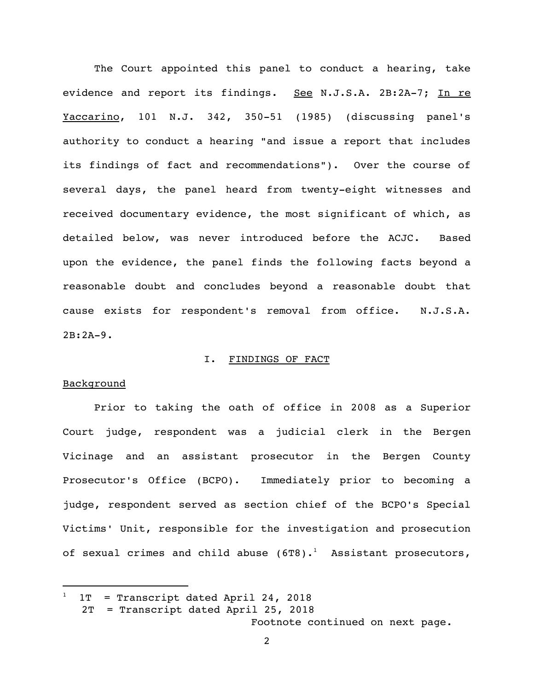The Court appointed this panel to conduct a hearing, take evidence and report its findings. See N.J.S.A. 2B:2A-7; In re Yaccarino, 101 N.J. 342, 350-51 (1985) (discussing panel's authority to conduct a hearing "and issue a report that includes its findings of fact and recommendations"). Over the course of several days, the panel heard from twenty-eight witnesses and received documentary evidence, the most significant of which, as detailed below, was never introduced before the ACJC. Based upon the evidence, the panel finds the following facts beyond a reasonable doubt and concludes beyond a reasonable doubt that cause exists for respondent's removal from office. N.J.S.A. 2B:2A-9.

#### I. FINDINGS OF FACT

## **Background**

i<br>L

Prior to taking the oath of office in 2008 as a Superior Court judge, respondent was a judicial clerk in the Bergen Vicinage and an assistant prosecutor in the Bergen County Prosecutor's Office (BCPO). Immediately prior to becoming a judge, respondent served as section chief of the BCPO's Special Victims' Unit, responsible for the investigation and prosecution of sexual crimes and child abuse (6T8).<sup>1</sup> Assistant prosecutors,

Footnote continued on next page.

 $1T$  = Transcript dated April 24, 2018

 <sup>2</sup>T = Transcript dated April 25, 2018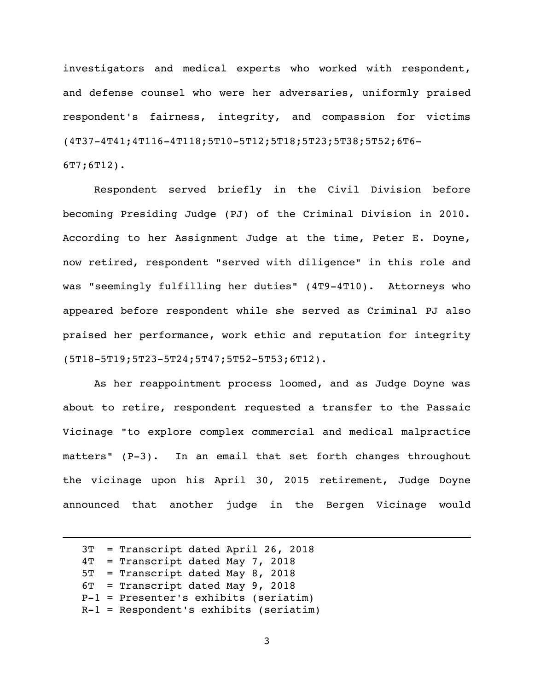investigators and medical experts who worked with respondent, and defense counsel who were her adversaries, uniformly praised respondent's fairness, integrity, and compassion for victims (4T37-4T41;4T116-4T118;5T10-5T12;5T18;5T23;5T38;5T52;6T6- 6T7;6T12).

Respondent served briefly in the Civil Division before becoming Presiding Judge (PJ) of the Criminal Division in 2010. According to her Assignment Judge at the time, Peter E. Doyne, now retired, respondent "served with diligence" in this role and was "seemingly fulfilling her duties" (4T9-4T10). Attorneys who appeared before respondent while she served as Criminal PJ also praised her performance, work ethic and reputation for integrity (5T18-5T19;5T23-5T24;5T47;5T52-5T53;6T12).

As her reappointment process loomed, and as Judge Doyne was about to retire, respondent requested a transfer to the Passaic Vicinage "to explore complex commercial and medical malpractice matters" (P-3). In an email that set forth changes throughout the vicinage upon his April 30, 2015 retirement, Judge Doyne announced that another judge in the Bergen Vicinage would

 3T = Transcript dated April 26, 2018 4T = Transcript dated May 7, 2018 5T = Transcript dated May 8, 2018 6T = Transcript dated May 9, 2018 P-1 = Presenter's exhibits (seriatim) R-1 = Respondent's exhibits (seriatim)

i<br>L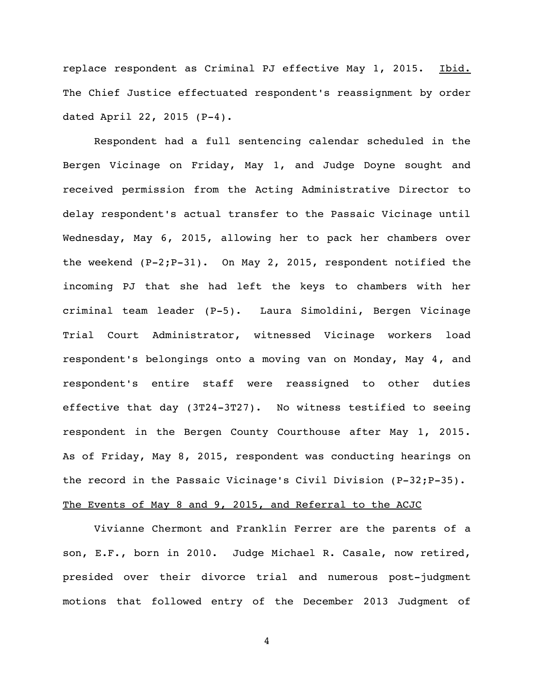replace respondent as Criminal PJ effective May 1, 2015. Ibid. The Chief Justice effectuated respondent's reassignment by order dated April 22, 2015 (P-4).

Respondent had a full sentencing calendar scheduled in the Bergen Vicinage on Friday, May 1, and Judge Doyne sought and received permission from the Acting Administrative Director to delay respondent's actual transfer to the Passaic Vicinage until Wednesday, May 6, 2015, allowing her to pack her chambers over the weekend (P-2;P-31). On May 2, 2015, respondent notified the incoming PJ that she had left the keys to chambers with her criminal team leader (P-5). Laura Simoldini, Bergen Vicinage Trial Court Administrator, witnessed Vicinage workers load respondent's belongings onto a moving van on Monday, May 4, and respondent's entire staff were reassigned to other duties effective that day (3T24-3T27). No witness testified to seeing respondent in the Bergen County Courthouse after May 1, 2015. As of Friday, May 8, 2015, respondent was conducting hearings on the record in the Passaic Vicinage's Civil Division (P-32; P-35).

# The Events of May 8 and 9, 2015, and Referral to the ACJC

Vivianne Chermont and Franklin Ferrer are the parents of a son, E.F., born in 2010. Judge Michael R. Casale, now retired, presided over their divorce trial and numerous post-judgment motions that followed entry of the December 2013 Judgment of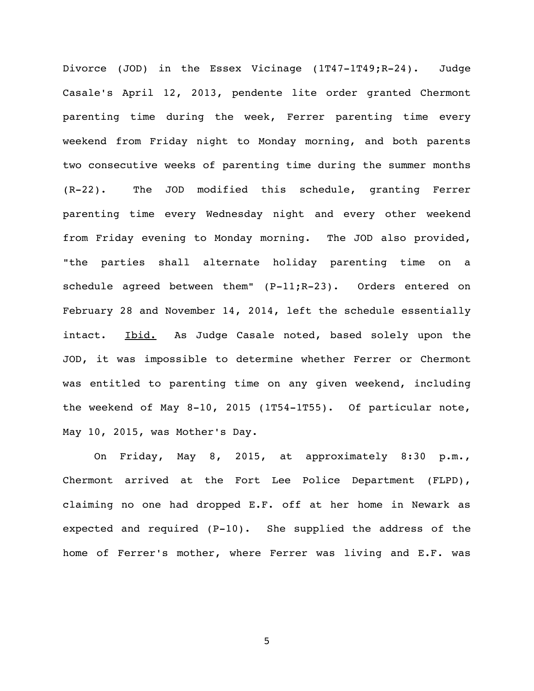Divorce (JOD) in the Essex Vicinage (1T47-1T49;R-24). Judge Casale's April 12, 2013, pendente lite order granted Chermont parenting time during the week, Ferrer parenting time every weekend from Friday night to Monday morning, and both parents two consecutive weeks of parenting time during the summer months (R-22). The JOD modified this schedule, granting Ferrer parenting time every Wednesday night and every other weekend from Friday evening to Monday morning. The JOD also provided, "the parties shall alternate holiday parenting time on a schedule agreed between them" (P-11;R-23). Orders entered on February 28 and November 14, 2014, left the schedule essentially intact. Ibid. As Judge Casale noted, based solely upon the JOD, it was impossible to determine whether Ferrer or Chermont was entitled to parenting time on any given weekend, including the weekend of May 8-10, 2015 (1T54-1T55). Of particular note, May 10, 2015, was Mother's Day.

On Friday, May 8, 2015, at approximately 8:30 p.m., Chermont arrived at the Fort Lee Police Department (FLPD), claiming no one had dropped E.F. off at her home in Newark as expected and required (P-10). She supplied the address of the home of Ferrer's mother, where Ferrer was living and E.F. was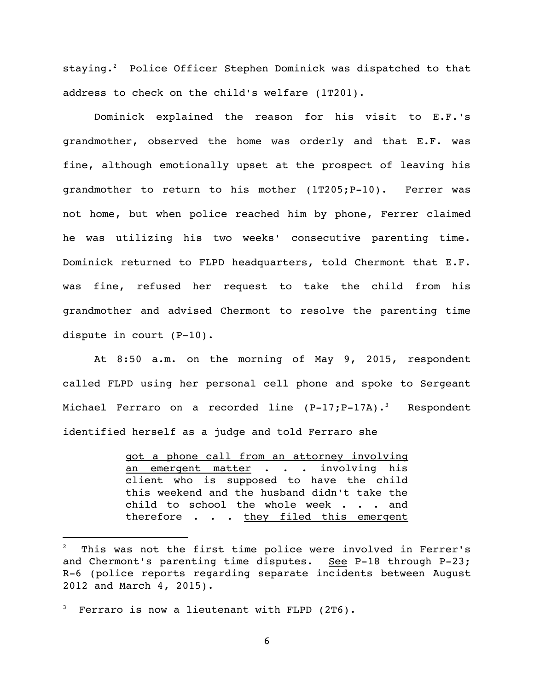staying. <sup>2</sup> Police Officer Stephen Dominick was dispatched to that address to check on the child's welfare (1T201).

Dominick explained the reason for his visit to E.F.'s grandmother, observed the home was orderly and that E.F. was fine, although emotionally upset at the prospect of leaving his grandmother to return to his mother (1T205;P-10). Ferrer was not home, but when police reached him by phone, Ferrer claimed he was utilizing his two weeks' consecutive parenting time. Dominick returned to FLPD headquarters, told Chermont that E.F. was fine, refused her request to take the child from his grandmother and advised Chermont to resolve the parenting time dispute in court (P-10).

At 8:50 a.m. on the morning of May 9, 2015, respondent called FLPD using her personal cell phone and spoke to Sergeant Michael Ferraro on a recorded line  $(P-17;P-17A)$ .<sup>3</sup> Respondent identified herself as a judge and told Ferraro she

> got a phone call from an attorney involving an emergent matter . . . involving his client who is supposed to have the child this weekend and the husband didn't take the child to school the whole week . . . and therefore . . . they filed this emergent

i<br>L

This was not the first time police were involved in Ferrer's and Chermont's parenting time disputes. See P-18 through P-23; R-6 (police reports regarding separate incidents between August 2012 and March 4, 2015).

Ferraro is now a lieutenant with FLPD (2T6).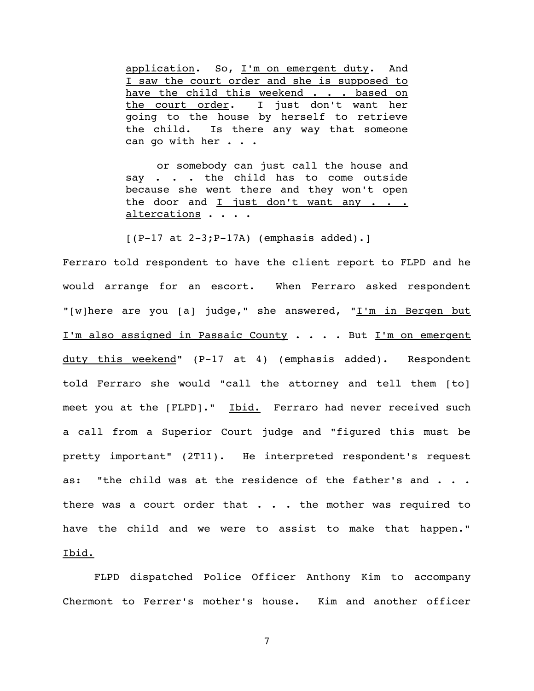application. So, I'm on emergent duty. And I saw the court order and she is supposed to have the child this weekend . . . based on the court order. I just don't want her going to the house by herself to retrieve the child. Is there any way that someone can go with her . . .

or somebody can just call the house and say . . . the child has to come outside because she went there and they won't open the door and I just don't want any  $\cdots$ altercations . . . .

 $[ (P-17 at 2-3; P-17A)$  (emphasis added).]

Ferraro told respondent to have the client report to FLPD and he would arrange for an escort. When Ferraro asked respondent "[w]here are you [a] judge," she answered, "I'm in Bergen but I'm also assigned in Passaic County . . . . But I'm on emergent duty this weekend" (P-17 at 4) (emphasis added). Respondent told Ferraro she would "call the attorney and tell them [to] meet you at the [FLPD]." Ibid. Ferraro had never received such a call from a Superior Court judge and "figured this must be pretty important" (2T11). He interpreted respondent's request as: "the child was at the residence of the father's and . . . there was a court order that  $\ldots$  . the mother was required to have the child and we were to assist to make that happen." Ibid.

FLPD dispatched Police Officer Anthony Kim to accompany Chermont to Ferrer's mother's house. Kim and another officer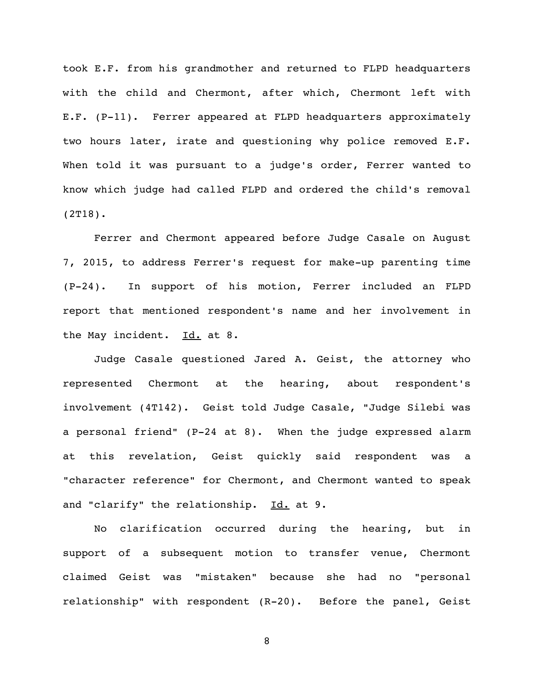took E.F. from his grandmother and returned to FLPD headquarters with the child and Chermont, after which, Chermont left with E.F. (P-11). Ferrer appeared at FLPD headquarters approximately two hours later, irate and questioning why police removed E.F. When told it was pursuant to a judge's order, Ferrer wanted to know which judge had called FLPD and ordered the child's removal (2T18).

Ferrer and Chermont appeared before Judge Casale on August 7, 2015, to address Ferrer's request for make-up parenting time (P-24). In support of his motion, Ferrer included an FLPD report that mentioned respondent's name and her involvement in the May incident. Id. at 8.

Judge Casale questioned Jared A. Geist, the attorney who represented Chermont at the hearing, about respondent's involvement (4T142). Geist told Judge Casale, "Judge Silebi was a personal friend" (P-24 at 8). When the judge expressed alarm at this revelation, Geist quickly said respondent was a "character reference" for Chermont, and Chermont wanted to speak and "clarify" the relationship. Id. at 9.

No clarification occurred during the hearing, but in support of a subsequent motion to transfer venue, Chermont claimed Geist was "mistaken" because she had no "personal relationship" with respondent (R-20). Before the panel, Geist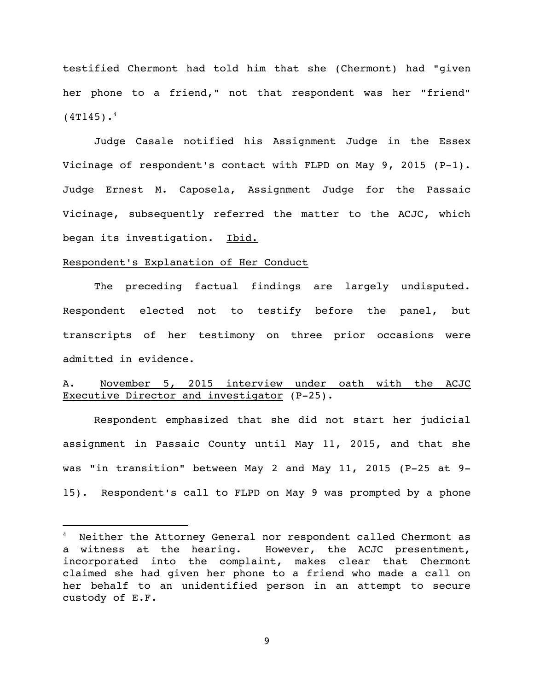testified Chermont had told him that she (Chermont) had "given her phone to a friend," not that respondent was her "friend"  $(4T145)$ .<sup>4</sup>

Judge Casale notified his Assignment Judge in the Essex Vicinage of respondent's contact with FLPD on May 9, 2015 (P-1). Judge Ernest M. Caposela, Assignment Judge for the Passaic Vicinage, subsequently referred the matter to the ACJC, which began its investigation. Ibid.

#### Respondent's Explanation of Her Conduct

i<br>L

The preceding factual findings are largely undisputed. Respondent elected not to testify before the panel, but transcripts of her testimony on three prior occasions were admitted in evidence.

## A. November 5, 2015 interview under oath with the ACJC Executive Director and investigator (P-25).

Respondent emphasized that she did not start her judicial assignment in Passaic County until May 11, 2015, and that she was "in transition" between May 2 and May 11, 2015 (P-25 at 9- 15). Respondent's call to FLPD on May 9 was prompted by a phone

<sup>4</sup> Neither the Attorney General nor respondent called Chermont as a witness at the hearing. However, the ACJC presentment, incorporated into the complaint, makes clear that Chermont claimed she had given her phone to a friend who made a call on her behalf to an unidentified person in an attempt to secure custody of E.F.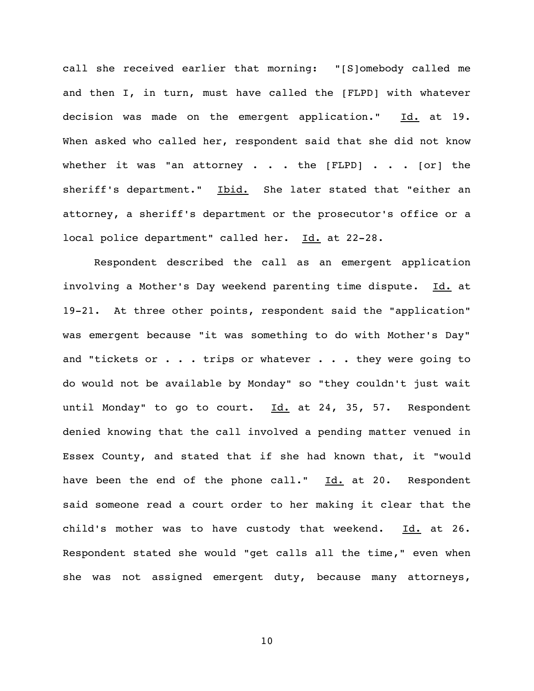call she received earlier that morning: "[S]omebody called me and then I, in turn, must have called the [FLPD] with whatever decision was made on the emergent application." Id. at 19. When asked who called her, respondent said that she did not know whether it was "an attorney . . . the  $[FLPD]$  . . .  $[OT]$  the sheriff's department." Ibid. She later stated that "either an attorney, a sheriff's department or the prosecutor's office or a local police department" called her. Id. at 22-28.

Respondent described the call as an emergent application involving a Mother's Day weekend parenting time dispute. Id. at 19-21. At three other points, respondent said the "application" was emergent because "it was something to do with Mother's Day" and "tickets or . . . trips or whatever . . . they were going to do would not be available by Monday" so "they couldn't just wait until Monday" to go to court. Id. at 24, 35, 57. Respondent denied knowing that the call involved a pending matter venued in Essex County, and stated that if she had known that, it "would have been the end of the phone call." Id. at 20. Respondent said someone read a court order to her making it clear that the child's mother was to have custody that weekend.  $Id.$  at 26. Respondent stated she would "get calls all the time," even when she was not assigned emergent duty, because many attorneys,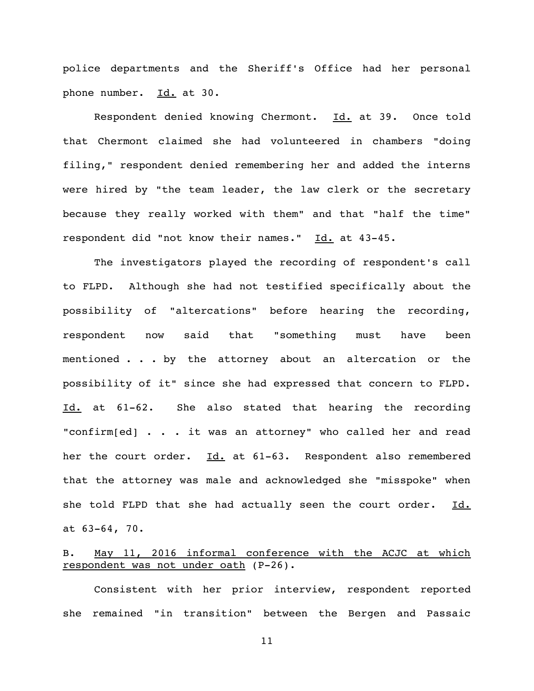police departments and the Sheriff's Office had her personal phone number. Id. at 30.

Respondent denied knowing Chermont. Id. at 39. Once told that Chermont claimed she had volunteered in chambers "doing filing," respondent denied remembering her and added the interns were hired by "the team leader, the law clerk or the secretary because they really worked with them" and that "half the time" respondent did "not know their names." Id. at 43-45.

The investigators played the recording of respondent's call to FLPD. Although she had not testified specifically about the possibility of "altercations" before hearing the recording, respondent now said that "something must have been mentioned . . . by the attorney about an altercation or the possibility of it" since she had expressed that concern to FLPD. Id. at 61-62. She also stated that hearing the recording "confirm[ed] . . . it was an attorney" who called her and read her the court order. Id. at 61-63. Respondent also remembered that the attorney was male and acknowledged she "misspoke" when she told FLPD that she had actually seen the court order. Id. at 63-64, 70.

# B. May 11, 2016 informal conference with the ACJC at which respondent was not under oath (P-26).

Consistent with her prior interview, respondent reported she remained "in transition" between the Bergen and Passaic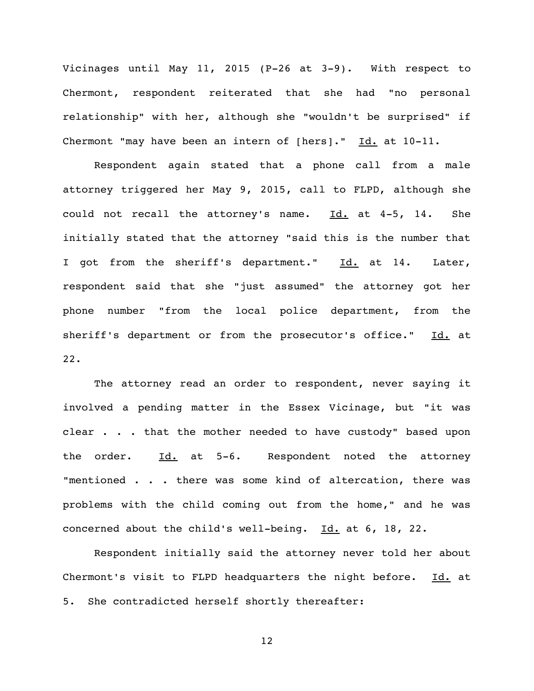Vicinages until May 11, 2015 (P-26 at 3-9). With respect to Chermont, respondent reiterated that she had "no personal relationship" with her, although she "wouldn't be surprised" if Chermont "may have been an intern of [hers]." Id. at 10-11.

Respondent again stated that a phone call from a male attorney triggered her May 9, 2015, call to FLPD, although she could not recall the attorney's name.  $Id.$  at 4-5, 14. She initially stated that the attorney "said this is the number that I got from the sheriff's department." Id. at 14. Later, respondent said that she "just assumed" the attorney got her phone number "from the local police department, from the sheriff's department or from the prosecutor's office." Id. at 22.

The attorney read an order to respondent, never saying it involved a pending matter in the Essex Vicinage, but "it was clear . . . that the mother needed to have custody" based upon the order. Id. at 5-6. Respondent noted the attorney "mentioned . . . there was some kind of altercation, there was problems with the child coming out from the home," and he was concerned about the child's well-being. Id. at 6, 18, 22.

Respondent initially said the attorney never told her about Chermont's visit to FLPD headquarters the night before.  $Id.$  at 5. She contradicted herself shortly thereafter: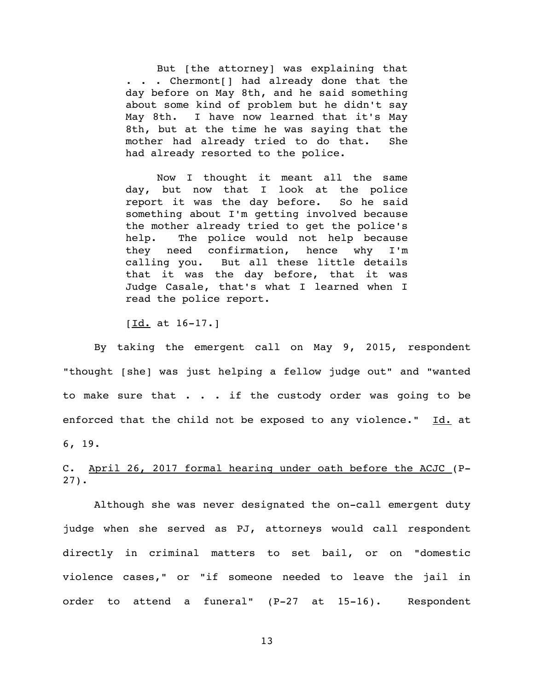But [the attorney] was explaining that . . . Chermont[] had already done that the day before on May 8th, and he said something about some kind of problem but he didn't say May 8th. I have now learned that it's May 8th, but at the time he was saying that the mother had already tried to do that. She had already resorted to the police.

Now I thought it meant all the same day, but now that I look at the police report it was the day before. So he said something about I'm getting involved because the mother already tried to get the police's help. The police would not help because they need confirmation, hence why I'm calling you. But all these little details that it was the day before, that it was Judge Casale, that's what I learned when I read the police report.

[Id. at 16-17.]

By taking the emergent call on May 9, 2015, respondent "thought [she] was just helping a fellow judge out" and "wanted to make sure that . . . if the custody order was going to be enforced that the child not be exposed to any violence." Id. at 6, 19.

## C. April 26, 2017 formal hearing under oath before the ACJC (P-27).

Although she was never designated the on-call emergent duty judge when she served as PJ, attorneys would call respondent directly in criminal matters to set bail, or on "domestic violence cases," or "if someone needed to leave the jail in order to attend a funeral" (P-27 at 15-16). Respondent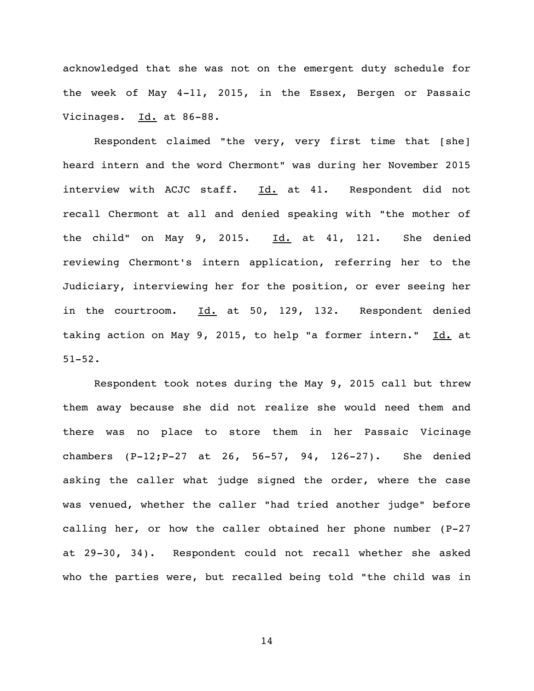acknowledged that she was not on the emergent duty schedule for the week of May 4-11, 2015, in the Essex, Bergen or Passaic Vicinages. Id. at 86-88.

Respondent claimed "the very, very first time that [she] heard intern and the word Chermont" was during her November 2015 interview with ACJC staff. Id. at 41. Respondent did not recall Chermont at all and denied speaking with "the mother of the child" on May 9, 2015.  $\underline{Id.}$  at 41, 121. She denied reviewing Chermont's intern application, referring her to the Judiciary, interviewing her for the position, or ever seeing her in the courtroom. Id. at 50, 129, 132. Respondent denied taking action on May 9, 2015, to help "a former intern." Id. at 51-52.

Respondent took notes during the May 9, 2015 call but threw them away because she did not realize she would need them and there was no place to store them in her Passaic Vicinage chambers (P-12;P-27 at 26, 56-57, 94, 126-27). She denied asking the caller what judge signed the order, where the case was venued, whether the caller "had tried another judge" before calling her, or how the caller obtained her phone number (P-27 at 29-30, 34). Respondent could not recall whether she asked who the parties were, but recalled being told "the child was in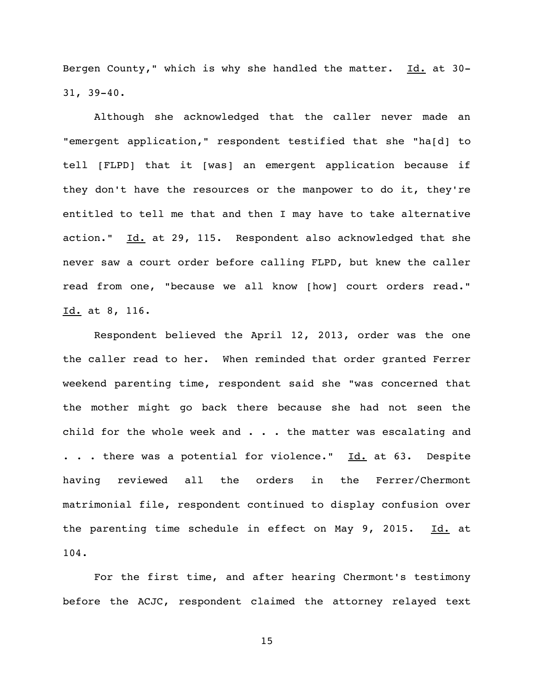Bergen County," which is why she handled the matter. Id. at 30-31, 39-40.

Although she acknowledged that the caller never made an "emergent application," respondent testified that she "ha[d] to tell [FLPD] that it [was] an emergent application because if they don't have the resources or the manpower to do it, they're entitled to tell me that and then I may have to take alternative action." Id. at 29, 115. Respondent also acknowledged that she never saw a court order before calling FLPD, but knew the caller read from one, "because we all know [how] court orders read." Id. at 8, 116.

Respondent believed the April 12, 2013, order was the one the caller read to her. When reminded that order granted Ferrer weekend parenting time, respondent said she "was concerned that the mother might go back there because she had not seen the child for the whole week and  $\ldots$  . the matter was escalating and . . . there was a potential for violence." Id. at 63. Despite having reviewed all the orders in the Ferrer/Chermont matrimonial file, respondent continued to display confusion over the parenting time schedule in effect on May 9, 2015. Id. at 104.

For the first time, and after hearing Chermont's testimony before the ACJC, respondent claimed the attorney relayed text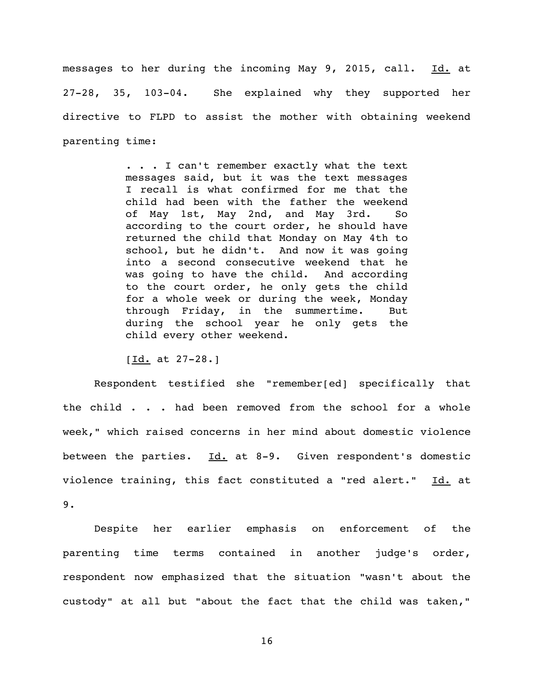messages to her during the incoming May 9, 2015, call. Id. at 27-28, 35, 103-04. She explained why they supported her directive to FLPD to assist the mother with obtaining weekend parenting time:

> . . . I can't remember exactly what the text messages said, but it was the text messages I recall is what confirmed for me that the child had been with the father the weekend of May 1st, May 2nd, and May 3rd. So according to the court order, he should have returned the child that Monday on May 4th to school, but he didn't. And now it was going into a second consecutive weekend that he was going to have the child. And according to the court order, he only gets the child for a whole week or during the week, Monday through Friday, in the summertime. But during the school year he only gets the child every other weekend.

 $[Id. at 27-28.]$ 

Respondent testified she "remember[ed] specifically that the child . . . had been removed from the school for a whole week," which raised concerns in her mind about domestic violence between the parties.  $Id.$  at 8-9. Given respondent's domestic violence training, this fact constituted a "red alert." Id. at 9.

Despite her earlier emphasis on enforcement of the parenting time terms contained in another judge's order, respondent now emphasized that the situation "wasn't about the custody" at all but "about the fact that the child was taken,"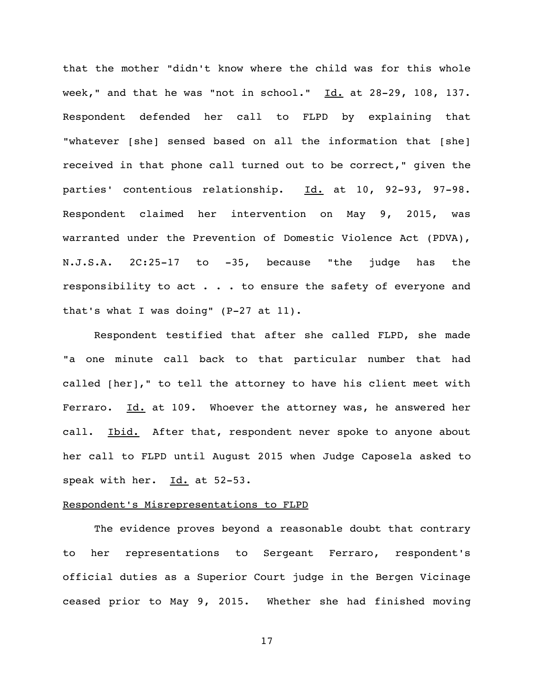that the mother "didn't know where the child was for this whole week," and that he was "not in school."  $Id.$  at 28-29, 108, 137. Respondent defended her call to FLPD by explaining that "whatever [she] sensed based on all the information that [she] received in that phone call turned out to be correct," given the parties' contentious relationship. Id. at 10, 92-93, 97-98. Respondent claimed her intervention on May 9, 2015, was warranted under the Prevention of Domestic Violence Act (PDVA), N.J.S.A. 2C:25-17 to -35, because "the judge has the responsibility to act . . . to ensure the safety of everyone and that's what I was doing" (P-27 at 11).

Respondent testified that after she called FLPD, she made "a one minute call back to that particular number that had called [her]," to tell the attorney to have his client meet with Ferraro. Id. at 109. Whoever the attorney was, he answered her call. Ibid. After that, respondent never spoke to anyone about her call to FLPD until August 2015 when Judge Caposela asked to speak with her. Id. at 52-53.

## Respondent's Misrepresentations to FLPD

The evidence proves beyond a reasonable doubt that contrary to her representations to Sergeant Ferraro, respondent's official duties as a Superior Court judge in the Bergen Vicinage ceased prior to May 9, 2015. Whether she had finished moving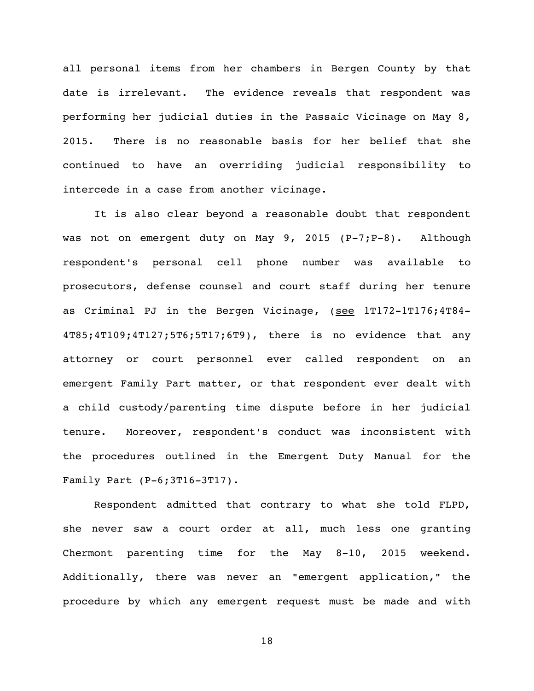all personal items from her chambers in Bergen County by that date is irrelevant. The evidence reveals that respondent was performing her judicial duties in the Passaic Vicinage on May 8, 2015. There is no reasonable basis for her belief that she continued to have an overriding judicial responsibility to intercede in a case from another vicinage.

It is also clear beyond a reasonable doubt that respondent was not on emergent duty on May 9, 2015 (P-7;P-8). Although respondent's personal cell phone number was available to prosecutors, defense counsel and court staff during her tenure as Criminal PJ in the Bergen Vicinage, (see 1T172-1T176;4T84-4T85;4T109;4T127;5T6;5T17;6T9), there is no evidence that any attorney or court personnel ever called respondent on an emergent Family Part matter, or that respondent ever dealt with a child custody/parenting time dispute before in her judicial tenure. Moreover, respondent's conduct was inconsistent with the procedures outlined in the Emergent Duty Manual for the Family Part (P-6;3T16-3T17).

Respondent admitted that contrary to what she told FLPD, she never saw a court order at all, much less one granting Chermont parenting time for the May 8-10, 2015 weekend. Additionally, there was never an "emergent application," the procedure by which any emergent request must be made and with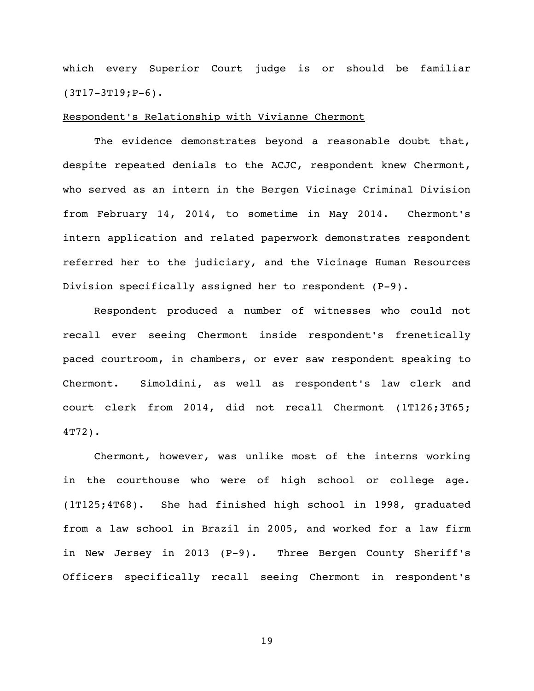which every Superior Court judge is or should be familiar (3T17-3T19;P-6).

### Respondent's Relationship with Vivianne Chermont

The evidence demonstrates beyond a reasonable doubt that, despite repeated denials to the ACJC, respondent knew Chermont, who served as an intern in the Bergen Vicinage Criminal Division from February 14, 2014, to sometime in May 2014. Chermont's intern application and related paperwork demonstrates respondent referred her to the judiciary, and the Vicinage Human Resources Division specifically assigned her to respondent (P-9).

Respondent produced a number of witnesses who could not recall ever seeing Chermont inside respondent's frenetically paced courtroom, in chambers, or ever saw respondent speaking to Chermont. Simoldini, as well as respondent's law clerk and court clerk from 2014, did not recall Chermont (1T126;3T65; 4T72).

Chermont, however, was unlike most of the interns working in the courthouse who were of high school or college age. (1T125;4T68). She had finished high school in 1998, graduated from a law school in Brazil in 2005, and worked for a law firm in New Jersey in 2013 (P-9). Three Bergen County Sheriff's Officers specifically recall seeing Chermont in respondent's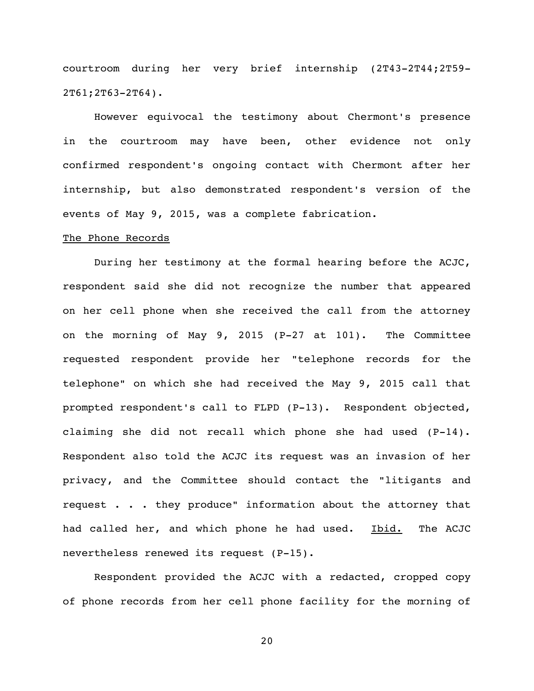courtroom during her very brief internship (2T43-2T44;2T59- 2T61;2T63-2T64).

However equivocal the testimony about Chermont's presence in the courtroom may have been, other evidence not only confirmed respondent's ongoing contact with Chermont after her internship, but also demonstrated respondent's version of the events of May 9, 2015, was a complete fabrication.

#### The Phone Records

During her testimony at the formal hearing before the ACJC, respondent said she did not recognize the number that appeared on her cell phone when she received the call from the attorney on the morning of May 9, 2015 (P-27 at 101). The Committee requested respondent provide her "telephone records for the telephone" on which she had received the May 9, 2015 call that prompted respondent's call to FLPD (P-13). Respondent objected, claiming she did not recall which phone she had used (P-14). Respondent also told the ACJC its request was an invasion of her privacy, and the Committee should contact the "litigants and request . . . they produce" information about the attorney that had called her, and which phone he had used. Ibid. The ACJC nevertheless renewed its request (P-15).

Respondent provided the ACJC with a redacted, cropped copy of phone records from her cell phone facility for the morning of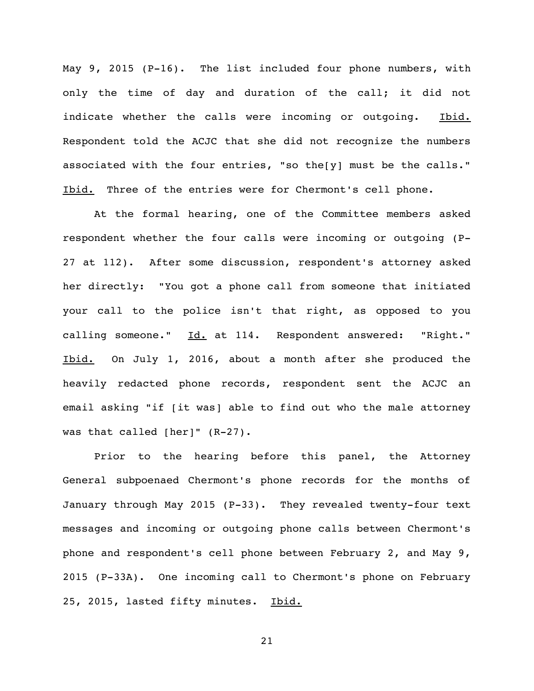May 9, 2015 (P-16). The list included four phone numbers, with only the time of day and duration of the call; it did not indicate whether the calls were incoming or outgoing. Ibid. Respondent told the ACJC that she did not recognize the numbers associated with the four entries, "so the[y] must be the calls." Ibid. Three of the entries were for Chermont's cell phone.

At the formal hearing, one of the Committee members asked respondent whether the four calls were incoming or outgoing (P-27 at 112). After some discussion, respondent's attorney asked her directly: "You got a phone call from someone that initiated your call to the police isn't that right, as opposed to you calling someone." Id. at 114. Respondent answered: "Right." Ibid. On July 1, 2016, about a month after she produced the heavily redacted phone records, respondent sent the ACJC an email asking "if [it was] able to find out who the male attorney was that called [her]" (R-27).

Prior to the hearing before this panel, the Attorney General subpoenaed Chermont's phone records for the months of January through May 2015 (P-33). They revealed twenty-four text messages and incoming or outgoing phone calls between Chermont's phone and respondent's cell phone between February 2, and May 9, 2015 (P-33A). One incoming call to Chermont's phone on February 25, 2015, lasted fifty minutes. Ibid.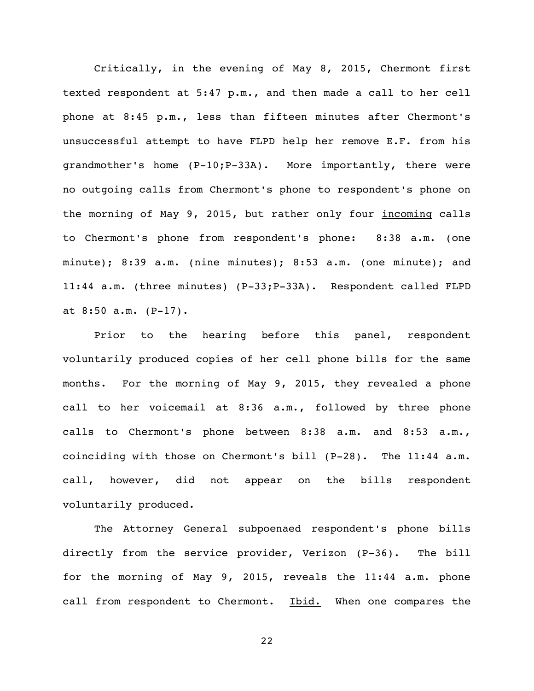Critically, in the evening of May 8, 2015, Chermont first texted respondent at 5:47 p.m., and then made a call to her cell phone at 8:45 p.m., less than fifteen minutes after Chermont's unsuccessful attempt to have FLPD help her remove E.F. from his grandmother's home (P-10;P-33A). More importantly, there were no outgoing calls from Chermont's phone to respondent's phone on the morning of May 9, 2015, but rather only four *incoming* calls to Chermont's phone from respondent's phone: 8:38 a.m. (one minute); 8:39 a.m. (nine minutes); 8:53 a.m. (one minute); and 11:44 a.m. (three minutes) (P-33;P-33A). Respondent called FLPD at 8:50 a.m. (P-17).

Prior to the hearing before this panel, respondent voluntarily produced copies of her cell phone bills for the same months. For the morning of May 9, 2015, they revealed a phone call to her voicemail at 8:36 a.m., followed by three phone calls to Chermont's phone between 8:38 a.m. and 8:53 a.m., coinciding with those on Chermont's bill (P-28). The 11:44 a.m. call, however, did not appear on the bills respondent voluntarily produced.

The Attorney General subpoenaed respondent's phone bills directly from the service provider, Verizon (P-36). The bill for the morning of May 9, 2015, reveals the 11:44 a.m. phone call from respondent to Chermont. Ibid. When one compares the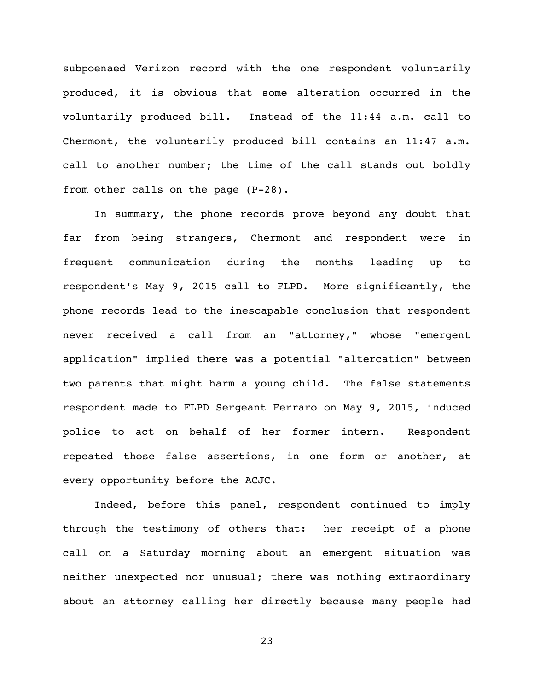subpoenaed Verizon record with the one respondent voluntarily produced, it is obvious that some alteration occurred in the voluntarily produced bill. Instead of the 11:44 a.m. call to Chermont, the voluntarily produced bill contains an 11:47 a.m. call to another number; the time of the call stands out boldly from other calls on the page (P-28).

In summary, the phone records prove beyond any doubt that far from being strangers, Chermont and respondent were in frequent communication during the months leading up to respondent's May 9, 2015 call to FLPD. More significantly, the phone records lead to the inescapable conclusion that respondent never received a call from an "attorney," whose "emergent application" implied there was a potential "altercation" between two parents that might harm a young child. The false statements respondent made to FLPD Sergeant Ferraro on May 9, 2015, induced police to act on behalf of her former intern. Respondent repeated those false assertions, in one form or another, at every opportunity before the ACJC.

Indeed, before this panel, respondent continued to imply through the testimony of others that: her receipt of a phone call on a Saturday morning about an emergent situation was neither unexpected nor unusual; there was nothing extraordinary about an attorney calling her directly because many people had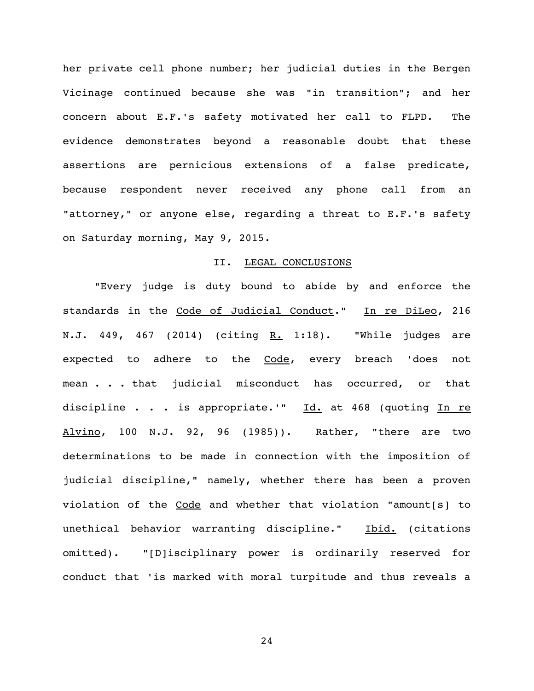her private cell phone number; her judicial duties in the Bergen Vicinage continued because she was "in transition"; and her concern about E.F.'s safety motivated her call to FLPD. The evidence demonstrates beyond a reasonable doubt that these assertions are pernicious extensions of a false predicate, because respondent never received any phone call from an "attorney," or anyone else, regarding a threat to E.F.'s safety on Saturday morning, May 9, 2015.

#### II. LEGAL CONCLUSIONS

"Every judge is duty bound to abide by and enforce the standards in the Code of Judicial Conduct." In re DiLeo, 216 N.J. 449, 467 (2014) (citing R. 1:18). "While judges are expected to adhere to the Code, every breach 'does not mean . . . that judicial misconduct has occurred, or that discipline . . . is appropriate.'"  $Id.$  at 468 (quoting In re Alvino, 100 N.J. 92, 96 (1985)). Rather, "there are two determinations to be made in connection with the imposition of judicial discipline," namely, whether there has been a proven violation of the Code and whether that violation "amount[s] to unethical behavior warranting discipline." Ibid. (citations omitted). "[D]isciplinary power is ordinarily reserved for conduct that 'is marked with moral turpitude and thus reveals a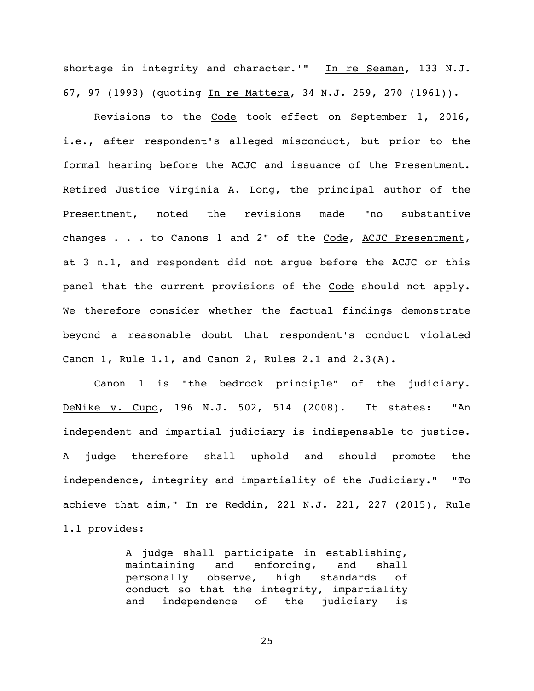shortage in integrity and character.'" In re Seaman, 133 N.J. 67, 97 (1993) (quoting In re Mattera, 34 N.J. 259, 270 (1961)).

Revisions to the Code took effect on September 1, 2016, i.e., after respondent's alleged misconduct, but prior to the formal hearing before the ACJC and issuance of the Presentment. Retired Justice Virginia A. Long, the principal author of the Presentment, noted the revisions made "no substantive changes . . . to Canons 1 and 2" of the Code, ACJC Presentment, at 3 n.1, and respondent did not argue before the ACJC or this panel that the current provisions of the Code should not apply. We therefore consider whether the factual findings demonstrate beyond a reasonable doubt that respondent's conduct violated Canon 1, Rule 1.1, and Canon 2, Rules 2.1 and 2.3(A).

Canon 1 is "the bedrock principle" of the judiciary. DeNike v. Cupo, 196 N.J. 502, 514 (2008). It states: "An independent and impartial judiciary is indispensable to justice. A judge therefore shall uphold and should promote the independence, integrity and impartiality of the Judiciary." "To achieve that aim," In re Reddin, 221 N.J. 221, 227 (2015), Rule 1.1 provides:

> A judge shall participate in establishing, maintaining and enforcing, and shall personally observe, high standards of conduct so that the integrity, impartiality and independence of the judiciary is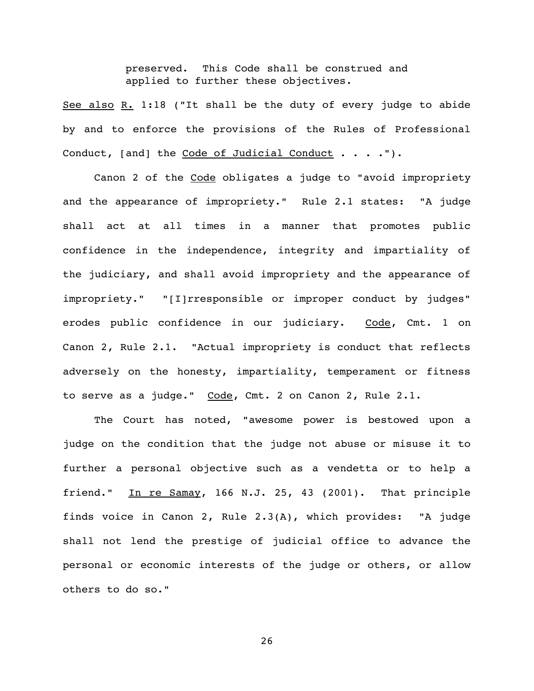preserved. This Code shall be construed and applied to further these objectives.

See also R. 1:18 ("It shall be the duty of every judge to abide by and to enforce the provisions of the Rules of Professional Conduct, [and] the Code of Judicial Conduct . . . .").

Canon 2 of the Code obligates a judge to "avoid impropriety and the appearance of impropriety." Rule 2.1 states: "A judge shall act at all times in a manner that promotes public confidence in the independence, integrity and impartiality of the judiciary, and shall avoid impropriety and the appearance of impropriety." "[I]rresponsible or improper conduct by judges" erodes public confidence in our judiciary. Code, Cmt. 1 on Canon 2, Rule 2.1. "Actual impropriety is conduct that reflects adversely on the honesty, impartiality, temperament or fitness to serve as a judge." Code, Cmt. 2 on Canon 2, Rule 2.1.

The Court has noted, "awesome power is bestowed upon a judge on the condition that the judge not abuse or misuse it to further a personal objective such as a vendetta or to help a friend." In re Samay, 166 N.J. 25, 43 (2001). That principle finds voice in Canon 2, Rule 2.3(A), which provides: "A judge shall not lend the prestige of judicial office to advance the personal or economic interests of the judge or others, or allow others to do so."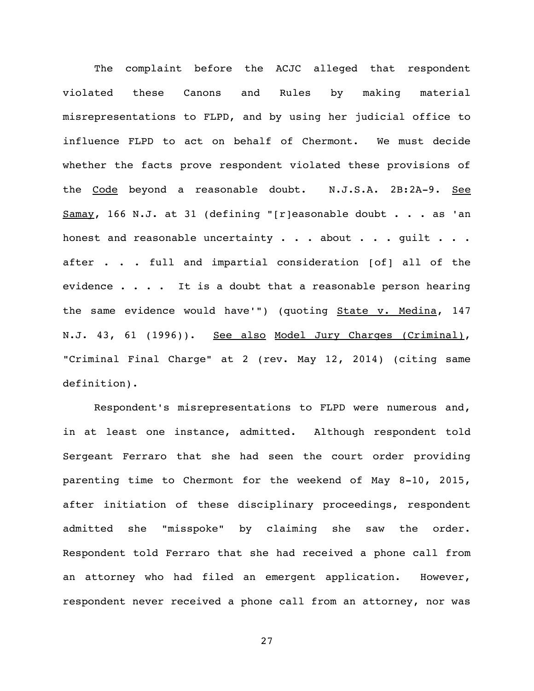The complaint before the ACJC alleged that respondent violated these Canons and Rules by making material misrepresentations to FLPD, and by using her judicial office to influence FLPD to act on behalf of Chermont. We must decide whether the facts prove respondent violated these provisions of the Code beyond a reasonable doubt. N.J.S.A. 2B:2A-9. See  $Samay$ , 166 N.J. at 31 (defining "[r]easonable doubt . . . as 'an honest and reasonable uncertainty  $\cdots$  about  $\cdots$  guilt  $\cdots$ after . . . full and impartial consideration [of] all of the evidence  $\ldots$  . . It is a doubt that a reasonable person hearing the same evidence would have'") (quoting **State v. Medina,** 147 N.J. 43, 61 (1996)). See also Model Jury Charges (Criminal), "Criminal Final Charge" at 2 (rev. May 12, 2014) (citing same definition).

Respondent's misrepresentations to FLPD were numerous and, in at least one instance, admitted. Although respondent told Sergeant Ferraro that she had seen the court order providing parenting time to Chermont for the weekend of May 8-10, 2015, after initiation of these disciplinary proceedings, respondent admitted she "misspoke" by claiming she saw the order. Respondent told Ferraro that she had received a phone call from an attorney who had filed an emergent application. However, respondent never received a phone call from an attorney, nor was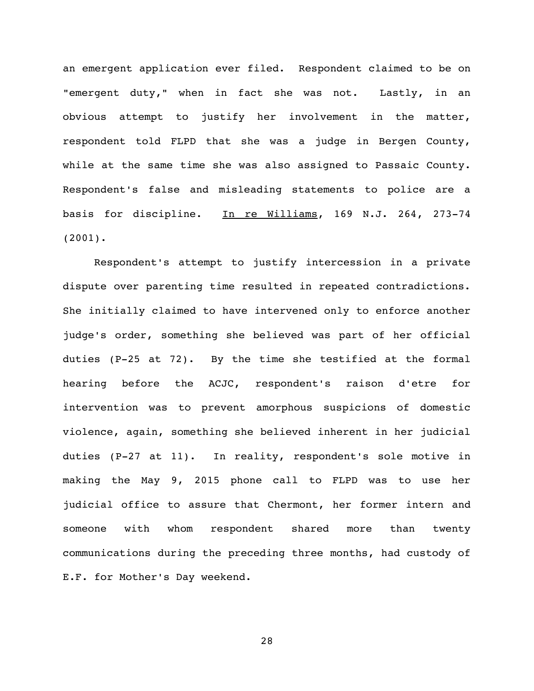an emergent application ever filed. Respondent claimed to be on "emergent duty," when in fact she was not. Lastly, in an obvious attempt to justify her involvement in the matter, respondent told FLPD that she was a judge in Bergen County, while at the same time she was also assigned to Passaic County. Respondent's false and misleading statements to police are a basis for discipline. In re Williams, 169 N.J. 264, 273-74 (2001).

Respondent's attempt to justify intercession in a private dispute over parenting time resulted in repeated contradictions. She initially claimed to have intervened only to enforce another judge's order, something she believed was part of her official duties (P-25 at 72). By the time she testified at the formal hearing before the ACJC, respondent's raison d'etre for intervention was to prevent amorphous suspicions of domestic violence, again, something she believed inherent in her judicial duties (P-27 at 11). In reality, respondent's sole motive in making the May 9, 2015 phone call to FLPD was to use her judicial office to assure that Chermont, her former intern and someone with whom respondent shared more than twenty communications during the preceding three months, had custody of E.F. for Mother's Day weekend.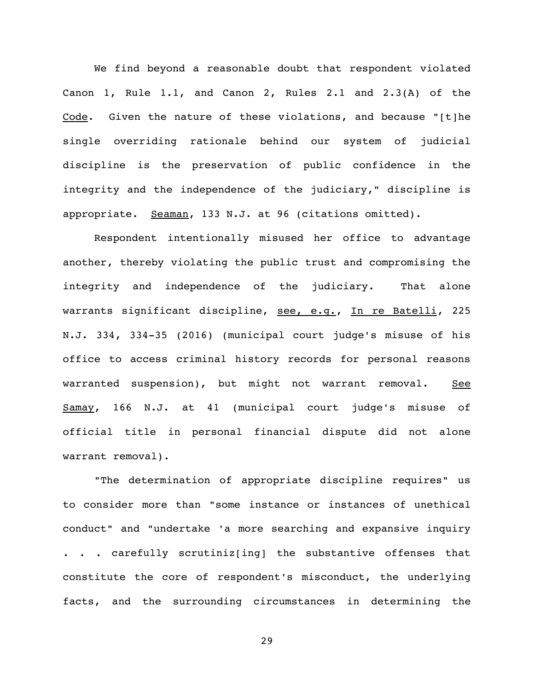We find beyond a reasonable doubt that respondent violated Canon 1, Rule 1.1, and Canon 2, Rules 2.1 and 2.3(A) of the Code. Given the nature of these violations, and because "[t]he single overriding rationale behind our system of judicial discipline is the preservation of public confidence in the integrity and the independence of the judiciary," discipline is appropriate. Seaman, 133 N.J. at 96 (citations omitted).

Respondent intentionally misused her office to advantage another, thereby violating the public trust and compromising the integrity and independence of the judiciary. That alone warrants significant discipline, see, e.g., In re Batelli, 225 N.J. 334, 334-35 (2016) (municipal court judge's misuse of his office to access criminal history records for personal reasons warranted suspension), but might not warrant removal. See Samay, 166 N.J. at 41 (municipal court judge's misuse of official title in personal financial dispute did not alone warrant removal).

"The determination of appropriate discipline requires" us to consider more than "some instance or instances of unethical conduct" and "undertake 'a more searching and expansive inquiry . . . carefully scrutiniz[ing] the substantive offenses that constitute the core of respondent's misconduct, the underlying facts, and the surrounding circumstances in determining the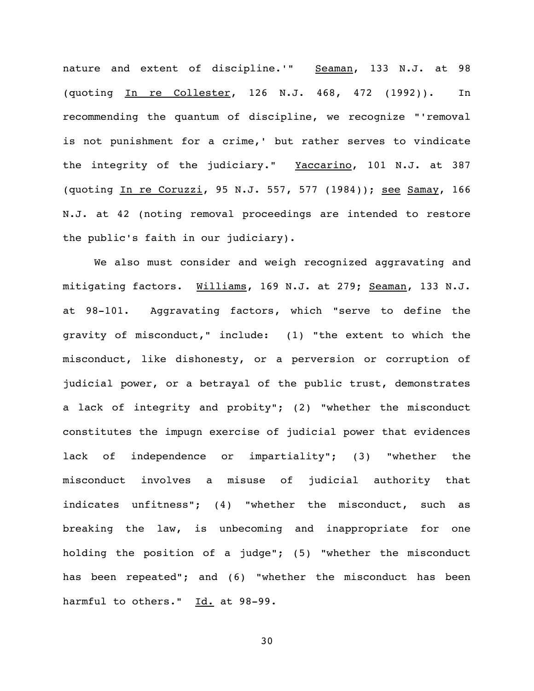nature and extent of discipline.'" Seaman, 133 N.J. at 98 (quoting In re Collester, 126 N.J. 468, 472 (1992)). In recommending the quantum of discipline, we recognize "'removal is not punishment for a crime,' but rather serves to vindicate the integrity of the judiciary." Yaccarino, 101 N.J. at 387 (quoting In re Coruzzi, 95 N.J. 557, 577 (1984)); see Samay, 166 N.J. at 42 (noting removal proceedings are intended to restore the public's faith in our judiciary).

We also must consider and weigh recognized aggravating and mitigating factors. Williams, 169 N.J. at 279; Seaman, 133 N.J. at 98-101. Aggravating factors, which "serve to define the gravity of misconduct," include: (1) "the extent to which the misconduct, like dishonesty, or a perversion or corruption of judicial power, or a betrayal of the public trust, demonstrates a lack of integrity and probity"; (2) "whether the misconduct constitutes the impugn exercise of judicial power that evidences lack of independence or impartiality"; (3) "whether the misconduct involves a misuse of judicial authority that indicates unfitness"; (4) "whether the misconduct, such as breaking the law, is unbecoming and inappropriate for one holding the position of a judge"; (5) "whether the misconduct has been repeated"; and (6) "whether the misconduct has been harmful to others." Id. at 98-99.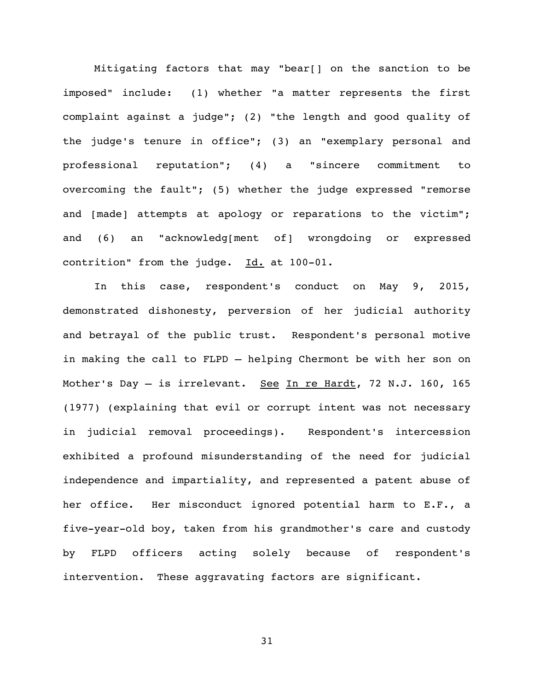Mitigating factors that may "bear[] on the sanction to be imposed" include: (1) whether "a matter represents the first complaint against a judge"; (2) "the length and good quality of the judge's tenure in office"; (3) an "exemplary personal and professional reputation"; (4) a "sincere commitment to overcoming the fault"; (5) whether the judge expressed "remorse and [made] attempts at apology or reparations to the victim"; and (6) an "acknowledg[ment of] wrongdoing or expressed contrition" from the judge. Id. at 100-01.

In this case, respondent's conduct on May 9, 2015, demonstrated dishonesty, perversion of her judicial authority and betrayal of the public trust. Respondent's personal motive in making the call to FLPD — helping Chermont be with her son on Mother's Day - is irrelevant. See In re Hardt, 72 N.J. 160, 165 (1977) (explaining that evil or corrupt intent was not necessary in judicial removal proceedings). Respondent's intercession exhibited a profound misunderstanding of the need for judicial independence and impartiality, and represented a patent abuse of her office. Her misconduct ignored potential harm to E.F., a five-year-old boy, taken from his grandmother's care and custody by FLPD officers acting solely because of respondent's intervention. These aggravating factors are significant.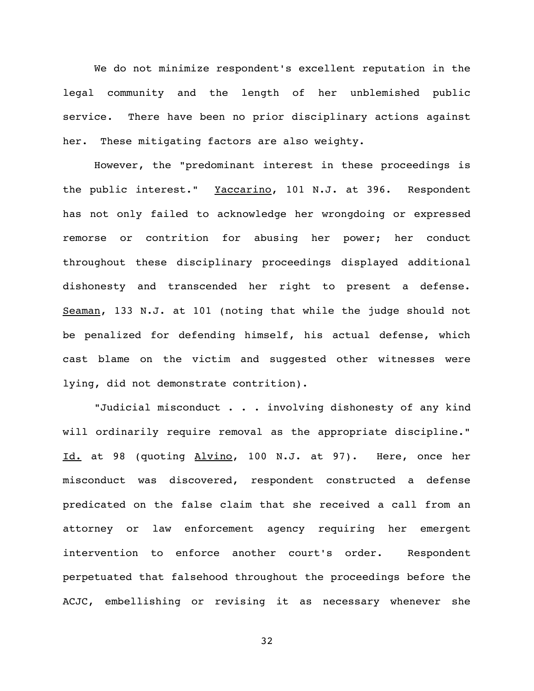We do not minimize respondent's excellent reputation in the legal community and the length of her unblemished public service. There have been no prior disciplinary actions against her. These mitigating factors are also weighty.

However, the "predominant interest in these proceedings is the public interest." Yaccarino, 101 N.J. at 396. Respondent has not only failed to acknowledge her wrongdoing or expressed remorse or contrition for abusing her power; her conduct throughout these disciplinary proceedings displayed additional dishonesty and transcended her right to present a defense. Seaman, 133 N.J. at 101 (noting that while the judge should not be penalized for defending himself, his actual defense, which cast blame on the victim and suggested other witnesses were lying, did not demonstrate contrition).

"Judicial misconduct . . . involving dishonesty of any kind will ordinarily require removal as the appropriate discipline." Id. at 98 (quoting Alvino, 100 N.J. at 97). Here, once her misconduct was discovered, respondent constructed a defense predicated on the false claim that she received a call from an attorney or law enforcement agency requiring her emergent intervention to enforce another court's order. Respondent perpetuated that falsehood throughout the proceedings before the ACJC, embellishing or revising it as necessary whenever she